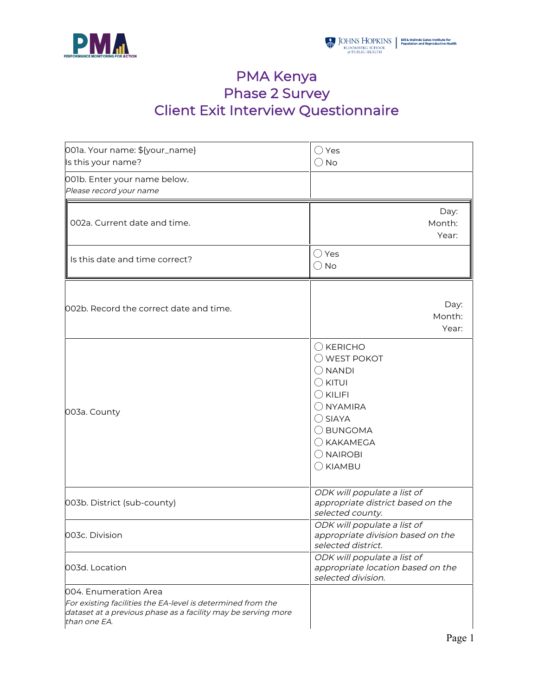



## PMA Kenya Phase 2 Survey Client Exit Interview Questionnaire

| 001a. Your name: \${your_name}<br>Is this your name?                                                                                                                  | $\bigcirc$ Yes<br>$\bigcirc$ No                                                                                                                                                                                                   |  |  |
|-----------------------------------------------------------------------------------------------------------------------------------------------------------------------|-----------------------------------------------------------------------------------------------------------------------------------------------------------------------------------------------------------------------------------|--|--|
| 001b. Enter your name below.<br>Please record your name                                                                                                               |                                                                                                                                                                                                                                   |  |  |
| 002a. Current date and time.                                                                                                                                          | Day:<br>Month:<br>Year:                                                                                                                                                                                                           |  |  |
| Is this date and time correct?                                                                                                                                        | $\bigcirc$ Yes<br>$\bigcirc$ No                                                                                                                                                                                                   |  |  |
| 002b. Record the correct date and time.                                                                                                                               | Day:<br>Month:<br>Year:                                                                                                                                                                                                           |  |  |
| 003a. County                                                                                                                                                          | $\bigcirc$ KERICHO<br>$\bigcirc$ WEST POKOT<br>$\bigcirc$ NANDI<br>$\bigcirc$ kitui<br>$\bigcirc$ KILIFI<br>$\bigcirc$ NYAMIRA<br>$\bigcirc$ SIAYA<br>O BUNGOMA<br>$\bigcirc$ KAKAMEGA<br>$\bigcirc$ NAIROBI<br>$\bigcirc$ KIAMBU |  |  |
| 003b. District (sub-county)                                                                                                                                           | ODK will populate a list of<br>appropriate district based on the<br>selected county.                                                                                                                                              |  |  |
| 003c. Division                                                                                                                                                        | ODK will populate a list of<br>appropriate division based on the<br>selected district.                                                                                                                                            |  |  |
| 003d. Location                                                                                                                                                        | ODK will populate a list of<br>appropriate location based on the<br>selected division.                                                                                                                                            |  |  |
| 004. Enumeration Area<br>For existing facilities the EA-level is determined from the<br>dataset at a previous phase as a facility may be serving more<br>than one EA. |                                                                                                                                                                                                                                   |  |  |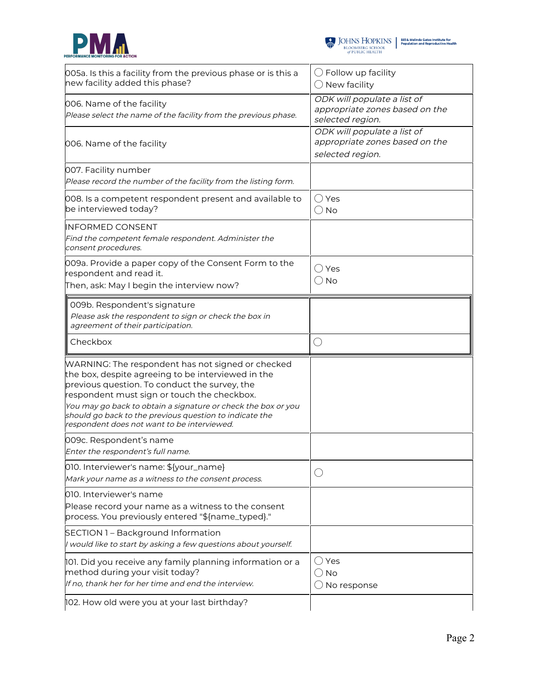



 $\begin{tabular}{l|c|c|c} \hline \textbf{J} & \textbf{JOHNS} & \textbf{HOPKINS} & \textbf{Bilä Melinda Gates instituta for}\\ \hline \textbf{BLOOMBERG SCHOOL} & \textbf{Population and Reproductive Health} \\ \hline \textit{of PUBLIC HEALTH} & \end{tabular}$ 

| 005a. Is this a facility from the previous phase or is this a<br>new facility added this phase?                                                                                                                                                                                                                                                                                    | $\bigcirc$ Follow up facility<br>$\bigcirc$ New facility                          |
|------------------------------------------------------------------------------------------------------------------------------------------------------------------------------------------------------------------------------------------------------------------------------------------------------------------------------------------------------------------------------------|-----------------------------------------------------------------------------------|
| 006. Name of the facility<br>Please select the name of the facility from the previous phase.                                                                                                                                                                                                                                                                                       | ODK will populate a list of<br>appropriate zones based on the<br>selected region. |
| 006. Name of the facility                                                                                                                                                                                                                                                                                                                                                          | ODK will populate a list of<br>appropriate zones based on the<br>selected region. |
| 007. Facility number<br>Please record the number of the facility from the listing form.                                                                                                                                                                                                                                                                                            |                                                                                   |
| 008. Is a competent respondent present and available to<br>be interviewed today?                                                                                                                                                                                                                                                                                                   | $\bigcirc$ Yes<br>$\bigcirc$ No                                                   |
| <b>INFORMED CONSENT</b><br>Find the competent female respondent. Administer the<br>consent procedures.                                                                                                                                                                                                                                                                             |                                                                                   |
| 009a. Provide a paper copy of the Consent Form to the<br>respondent and read it.<br>Then, ask: May I begin the interview now?                                                                                                                                                                                                                                                      | $\bigcirc$ Yes<br>$\bigcirc$ No                                                   |
| 009b. Respondent's signature<br>Please ask the respondent to sign or check the box in<br>agreement of their participation.                                                                                                                                                                                                                                                         |                                                                                   |
| Checkbox                                                                                                                                                                                                                                                                                                                                                                           | $\bigcirc$                                                                        |
| WARNING: The respondent has not signed or checked<br>the box, despite agreeing to be interviewed in the<br>previous question. To conduct the survey, the<br>respondent must sign or touch the checkbox.<br>You may go back to obtain a signature or check the box or you<br>should go back to the previous question to indicate the<br>respondent does not want to be interviewed. |                                                                                   |
| 009c. Respondent's name<br>Enter the respondent's full name.                                                                                                                                                                                                                                                                                                                       |                                                                                   |
| 010. Interviewer's name: \${your_name}<br>Mark your name as a witness to the consent process.                                                                                                                                                                                                                                                                                      | $(\ )$                                                                            |
| 010. Interviewer's name<br>Please record your name as a witness to the consent<br>process. You previously entered "\${name_typed}."                                                                                                                                                                                                                                                |                                                                                   |
| SECTION 1 - Background Information<br>I would like to start by asking a few questions about yourself.                                                                                                                                                                                                                                                                              |                                                                                   |
| 101. Did you receive any family planning information or a<br>method during your visit today?                                                                                                                                                                                                                                                                                       | $\bigcirc$ Yes                                                                    |
| If no, thank her for her time and end the interview.                                                                                                                                                                                                                                                                                                                               | $\bigcirc$ No<br>$\bigcirc$ No response                                           |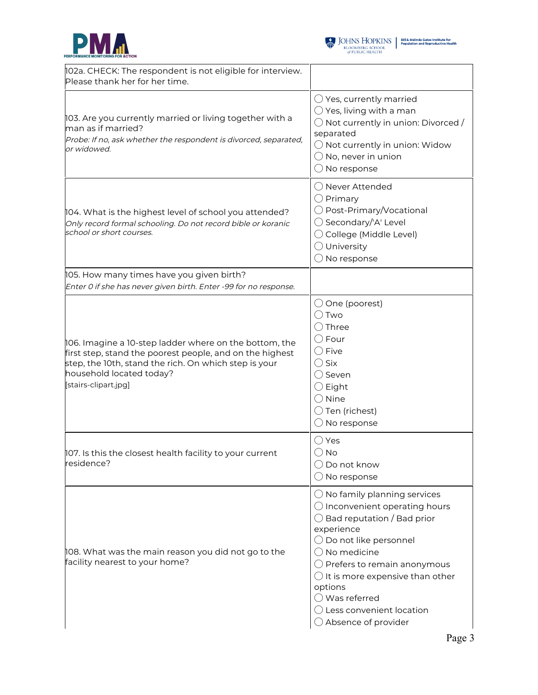



| 102a. CHECK: The respondent is not eligible for interview.<br>Please thank her for her time.                                                                                                                                    |                                                                                                                                                                                                                                                                                                                                                                                                      |
|---------------------------------------------------------------------------------------------------------------------------------------------------------------------------------------------------------------------------------|------------------------------------------------------------------------------------------------------------------------------------------------------------------------------------------------------------------------------------------------------------------------------------------------------------------------------------------------------------------------------------------------------|
| 103. Are you currently married or living together with a<br>man as if married?<br>Probe: If no, ask whether the respondent is divorced, separated,<br>or widowed.                                                               | $\bigcirc$ Yes, currently married<br>$\bigcirc$ Yes, living with a man<br>$\bigcirc$ Not currently in union: Divorced /<br>separated<br>$\bigcirc$ Not currently in union: Widow<br>$\bigcirc$ No, never in union<br>$\bigcirc$ No response                                                                                                                                                          |
| 104. What is the highest level of school you attended?<br>Only record formal schooling. Do not record bible or koranic<br>school or short courses.                                                                              | ◯ Never Attended<br>$\bigcirc$ Primary<br>◯ Post-Primary/Vocational<br>◯ Secondary/'A' Level<br>◯ College (Middle Level)<br>$\bigcirc$ University<br>$\bigcirc$ No response                                                                                                                                                                                                                          |
| 105. How many times have you given birth?<br>Enter 0 if she has never given birth. Enter -99 for no response.                                                                                                                   |                                                                                                                                                                                                                                                                                                                                                                                                      |
| 106. Imagine a 10-step ladder where on the bottom, the<br>first step, stand the poorest people, and on the highest<br>step, the 10th, stand the rich. On which step is your<br>household located today?<br>[stairs-clipart.jpg] | $\bigcirc$ One (poorest)<br>$\bigcirc$ Two<br>$\bigcirc$ Three<br>$\bigcirc$ Four<br>$\bigcirc$ Five<br>$\bigcirc$ Six<br>$\bigcirc$ Seven<br>$\bigcirc$ Eight<br>$\bigcirc$ Nine<br>$\bigcirc$ Ten (richest)<br>$\bigcirc$ No response                                                                                                                                                              |
| 107. Is this the closest health facility to your current<br>residence?                                                                                                                                                          | $\bigcirc$ Yes<br>$\bigcirc$ No<br>$\bigcirc$ Do not know<br>$\bigcirc$ No response                                                                                                                                                                                                                                                                                                                  |
| 108. What was the main reason you did not go to the<br>facility nearest to your home?                                                                                                                                           | $\bigcirc$ No family planning services<br>$\bigcirc$ Inconvenient operating hours<br>$\bigcirc$ Bad reputation / Bad prior<br>experience<br>◯ Do not like personnel<br>$\bigcirc$ No medicine<br>$\bigcirc$ Prefers to remain anonymous<br>$\bigcirc$ It is more expensive than other<br>options<br>$\bigcirc$ Was referred<br>$\bigcirc$ Less convenient location<br>$\bigcirc$ Absence of provider |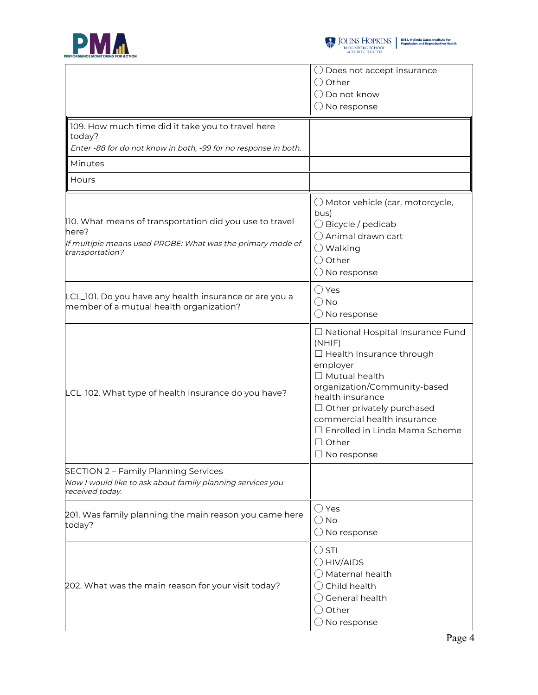



|                                                                                                                                                   | $\bigcirc$ Does not accept insurance                                                                                                                                                                                                                                                                                     |
|---------------------------------------------------------------------------------------------------------------------------------------------------|--------------------------------------------------------------------------------------------------------------------------------------------------------------------------------------------------------------------------------------------------------------------------------------------------------------------------|
|                                                                                                                                                   | $\bigcirc$ Other                                                                                                                                                                                                                                                                                                         |
|                                                                                                                                                   | $\bigcirc$ Do not know                                                                                                                                                                                                                                                                                                   |
|                                                                                                                                                   | $\bigcirc$ No response                                                                                                                                                                                                                                                                                                   |
| 109. How much time did it take you to travel here<br>today?                                                                                       |                                                                                                                                                                                                                                                                                                                          |
| Enter -88 for do not know in both, -99 for no response in both.                                                                                   |                                                                                                                                                                                                                                                                                                                          |
| Minutes                                                                                                                                           |                                                                                                                                                                                                                                                                                                                          |
| Hours                                                                                                                                             |                                                                                                                                                                                                                                                                                                                          |
| 110. What means of transportation did you use to travel<br>here?<br>If multiple means used PROBE: What was the primary mode of<br>transportation? | $\bigcirc$ Motor vehicle (car, motorcycle,<br>bus)<br>$\bigcirc$ Bicycle / pedicab<br>$\bigcirc$ Animal drawn cart<br>$\bigcirc$ Walking<br>O Other<br>$\bigcirc$ No response                                                                                                                                            |
| LCL_101. Do you have any health insurance or are you a<br>member of a mutual health organization?                                                 | $\bigcirc$ Yes<br>$\bigcirc$ No<br>$\bigcirc$ No response                                                                                                                                                                                                                                                                |
| LCL_102. What type of health insurance do you have?                                                                                               | $\Box$ National Hospital Insurance Fund<br>(NHIF)<br>□ Health Insurance through<br>employer<br>$\Box$ Mutual health<br>organization/Community-based<br>health insurance<br>$\Box$ Other privately purchased<br>commercial health insurance<br>$\Box$ Enrolled in Linda Mama Scheme<br>$\Box$ Other<br>$\Box$ No response |
| SECTION 2 - Family Planning Services<br>Now I would like to ask about family planning services you<br>received today.                             |                                                                                                                                                                                                                                                                                                                          |
| 201. Was family planning the main reason you came here<br>today?                                                                                  | $\bigcirc$ Yes<br>$\bigcirc$ No<br>$\bigcirc$ No response                                                                                                                                                                                                                                                                |
| 202. What was the main reason for your visit today?                                                                                               | $\bigcirc$ STI<br>$\bigcirc$ HIV/AIDS<br>$\bigcirc$ Maternal health<br>$\bigcirc$ Child health<br>$\bigcirc$ General health<br>$\bigcirc$ Other<br>$\bigcirc$ No response                                                                                                                                                |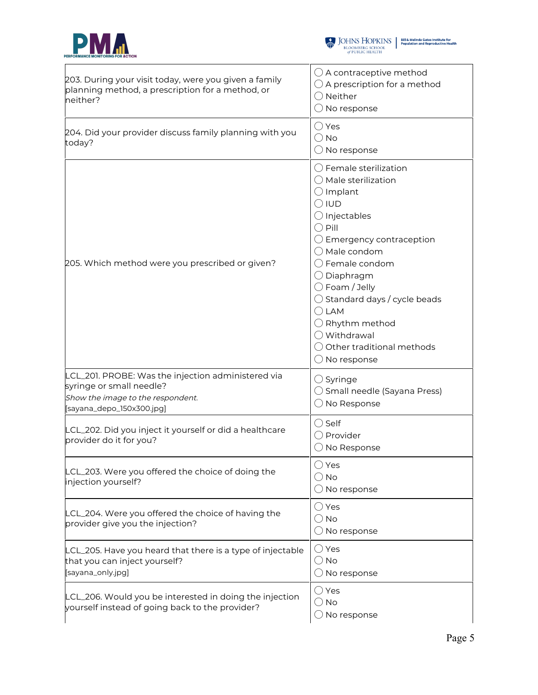



| 203. During your visit today, were you given a family<br>planning method, a prescription for a method, or<br>neither?                            | $\bigcirc$ A contraceptive method<br>$\bigcirc$ A prescription for a method<br>$\bigcirc$ Neither<br>$\bigcirc$ No response                                                                                                                                                                                                                                                                                                                                    |
|--------------------------------------------------------------------------------------------------------------------------------------------------|----------------------------------------------------------------------------------------------------------------------------------------------------------------------------------------------------------------------------------------------------------------------------------------------------------------------------------------------------------------------------------------------------------------------------------------------------------------|
| 204. Did your provider discuss family planning with you<br>today?                                                                                | $\bigcirc$ Yes<br>$\bigcirc$ No<br>$\bigcirc$ No response                                                                                                                                                                                                                                                                                                                                                                                                      |
| 205. Which method were you prescribed or given?                                                                                                  | $\bigcirc$ Female sterilization<br>( ) Male sterilization<br>$\bigcirc$ Implant<br>$\bigcirc$ iud<br>$\bigcirc$ Injectables<br>$\bigcirc$ Pill<br>$\bigcirc$ Emergency contraception<br>$\bigcirc$ Male condom<br>$\bigcirc$ Female condom<br>◯ Diaphragm<br>$\bigcirc$ Foam / Jelly<br>$\bigcirc$ Standard days / cycle beads<br>$\bigcirc$ LAM<br>$\bigcirc$ Rhythm method<br>◯ Withdrawal<br>$\bigcirc$ Other traditional methods<br>$\bigcirc$ No response |
| LCL_201. PROBE: Was the injection administered via<br>syringe or small needle?<br>Show the image to the respondent.<br>[sayana_depo_150x300.jpg] | $\bigcirc$ Syringe<br>$\bigcirc$ Small needle (Sayana Press)<br>No Response                                                                                                                                                                                                                                                                                                                                                                                    |
| LCL_202. Did you inject it yourself or did a healthcare<br>provider do it for you?                                                               | $\bigcirc$ Self<br>$\bigcirc$ Provider<br>$\bigcirc$ No Response                                                                                                                                                                                                                                                                                                                                                                                               |
| LCL_203. Were you offered the choice of doing the<br>injection yourself?                                                                         | ○ Yes<br>∪ No<br>$\bigcirc$ No response                                                                                                                                                                                                                                                                                                                                                                                                                        |
| LCL_204. Were you offered the choice of having the<br>provider give you the injection?                                                           | $\bigcirc$ Yes<br>() No<br>$\bigcirc$ No response                                                                                                                                                                                                                                                                                                                                                                                                              |
| LCL_205. Have you heard that there is a type of injectable<br>that you can inject yourself?<br>[sayana_only.jpg]                                 | $\bigcirc$ Yes<br>() No<br>$\bigcirc$ No response                                                                                                                                                                                                                                                                                                                                                                                                              |
| LCL_206. Would you be interested in doing the injection<br>yourself instead of going back to the provider?                                       | $\bigcirc$ Yes<br>○ No<br>No response                                                                                                                                                                                                                                                                                                                                                                                                                          |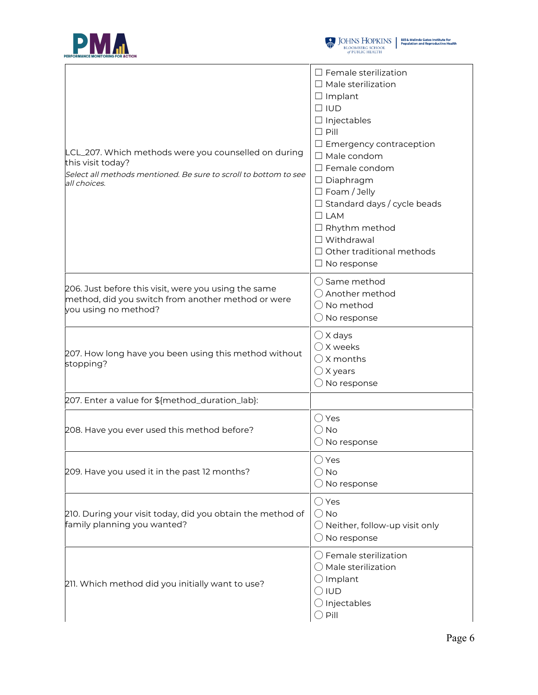



| LCL_207. Which methods were you counselled on during<br>this visit today?<br>Select all methods mentioned. Be sure to scroll to bottom to see<br>all choices. | $\Box$ Female sterilization<br>$\Box$ Male sterilization<br>$\Box$ Implant<br>$\Box$ IUD<br>$\Box$ Injectables<br>$\Box$ Pill<br>$\Box$ Emergency contraception<br>$\Box$ Male condom<br>$\square$ Female condom<br>$\Box$ Diaphragm<br>$\Box$ Foam / Jelly<br>$\Box$ Standard days / cycle beads<br>$\Box$ LAM<br>$\Box$ Rhythm method<br>$\Box$ Withdrawal<br>$\Box$ Other traditional methods<br>$\Box$ No response |  |
|---------------------------------------------------------------------------------------------------------------------------------------------------------------|------------------------------------------------------------------------------------------------------------------------------------------------------------------------------------------------------------------------------------------------------------------------------------------------------------------------------------------------------------------------------------------------------------------------|--|
| 206. Just before this visit, were you using the same<br>method, did you switch from another method or were<br>you using no method?                            | $\bigcirc$ Same method<br>◯ Another method<br>$\bigcirc$ No method<br>$\bigcirc$ No response                                                                                                                                                                                                                                                                                                                           |  |
| 207. How long have you been using this method without<br>stopping?                                                                                            | $\bigcirc$ X days<br>$\bigcirc$ X weeks<br>$\bigcirc$ X months<br>$\bigcirc$ X years<br>$\bigcirc$ No response                                                                                                                                                                                                                                                                                                         |  |
| 207. Enter a value for \${method_duration_lab}:                                                                                                               |                                                                                                                                                                                                                                                                                                                                                                                                                        |  |
| 208. Have you ever used this method before?                                                                                                                   | $\bigcirc$ Yes<br>() No<br>$\bigcirc$ No response                                                                                                                                                                                                                                                                                                                                                                      |  |
| 209. Have you used it in the past 12 months?                                                                                                                  | $\bigcirc$ Yes<br>$\bigcirc$ No<br>$\bigcirc$ No response                                                                                                                                                                                                                                                                                                                                                              |  |
| 210. During your visit today, did you obtain the method of<br>family planning you wanted?                                                                     | $\bigcirc$ Yes<br>$\bigcirc$ No<br>$\bigcirc$ Neither, follow-up visit only<br>$\bigcirc$ No response                                                                                                                                                                                                                                                                                                                  |  |
| 211. Which method did you initially want to use?                                                                                                              | $\bigcirc$ Female sterilization<br>$\bigcirc$ Male sterilization<br>$\bigcirc$ Implant<br>$\bigcirc$ IUD<br>$\bigcirc$ Injectables<br>$\bigcirc$ Pill                                                                                                                                                                                                                                                                  |  |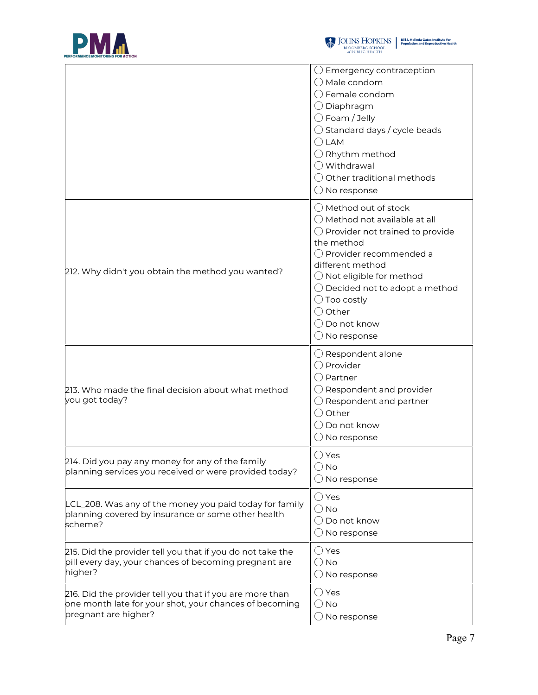



|                                                                                                                                            | $\bigcirc$ Emergency contraception<br>$\bigcirc$ Male condom<br>$\bigcirc$ Female condom<br>○ Diaphragm<br>$\bigcirc$ Foam / Jelly<br>$\bigcirc$ Standard days / cycle beads<br>$\bigcirc$ LAM<br>$\bigcirc$ Rhythm method<br>◯ Withdrawal<br>$\bigcirc$ Other traditional methods<br>$\bigcirc$ No response                                                   |  |
|--------------------------------------------------------------------------------------------------------------------------------------------|----------------------------------------------------------------------------------------------------------------------------------------------------------------------------------------------------------------------------------------------------------------------------------------------------------------------------------------------------------------|--|
| 212. Why didn't you obtain the method you wanted?                                                                                          | $\bigcirc$ Method out of stock<br>$\bigcirc$ Method not available at all<br>$\bigcirc$ Provider not trained to provide<br>the method<br>O Provider recommended a<br>different method<br>$\bigcirc$ Not eligible for method<br>$\bigcirc$ Decided not to adopt a method<br>$\bigcirc$ Too costly<br>○ Other<br>$\bigcirc$ Do not know<br>$\bigcirc$ No response |  |
| 213. Who made the final decision about what method<br>you got today?                                                                       | $\bigcirc$ Respondent alone<br>◯ Provider<br>() Partner<br>$\bigcirc$ Respondent and provider<br>$\bigcirc$ Respondent and partner<br>○ Other<br>$\bigcirc$ Do not know<br>$\bigcirc$ No response                                                                                                                                                              |  |
| 214. Did you pay any money for any of the family<br>planning services you received or were provided today?                                 | $\bigcirc$ Yes<br>$\bigcirc$ No<br>$\bigcirc$ No response                                                                                                                                                                                                                                                                                                      |  |
| LCL_208. Was any of the money you paid today for family<br>planning covered by insurance or some other health<br>scheme?                   | $\bigcirc$ Yes<br>$\bigcirc$ No<br>$\bigcirc$ Do not know<br>$\bigcirc$ No response                                                                                                                                                                                                                                                                            |  |
| 215. Did the provider tell you that if you do not take the<br>pill every day, your chances of becoming pregnant are<br>higher?             | ◯ Yes<br>$\bigcirc$ No<br>$\bigcirc$ No response                                                                                                                                                                                                                                                                                                               |  |
| 216. Did the provider tell you that if you are more than<br>one month late for your shot, your chances of becoming<br>pregnant are higher? | $\bigcirc$ Yes<br>$\bigcirc$ No<br>$\bigcirc$ No response                                                                                                                                                                                                                                                                                                      |  |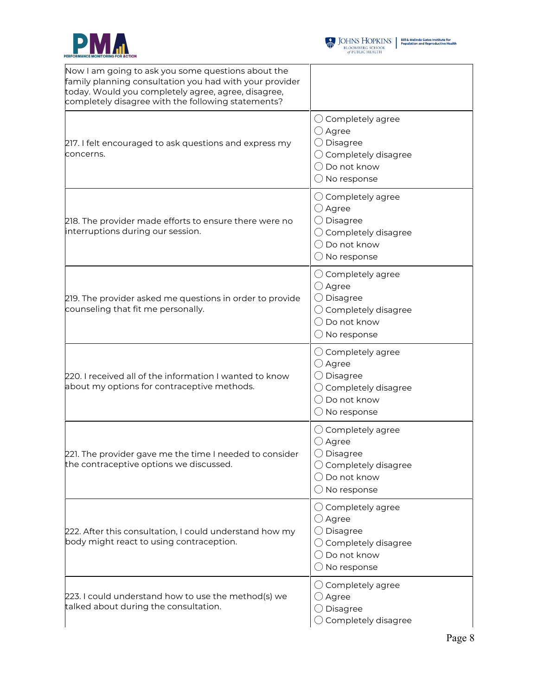



 $\begin{tabular}{l|c|c|c} \hline \textbf{J} & \textbf{JOHNS} & \textbf{HOPKINS} & \textbf{Bilä Melinda Gates instituta for}\\ \hline \textbf{BLOOMBERG SCHOOL} & \textbf{Population and Reproductive Health} \\ \hline \textit{of PUBLIC HEALTH} & \end{tabular}$ 

| Now I am going to ask you some questions about the<br>family planning consultation you had with your provider<br>today. Would you completely agree, agree, disagree,<br>completely disagree with the following statements? |                                                                                                                                                              |
|----------------------------------------------------------------------------------------------------------------------------------------------------------------------------------------------------------------------------|--------------------------------------------------------------------------------------------------------------------------------------------------------------|
| 217. I felt encouraged to ask questions and express my<br>concerns.                                                                                                                                                        | $\bigcirc$ Completely agree<br>$\bigcirc$ Agree<br>$\bigcirc$ Disagree<br>$\bigcirc$ Completely disagree<br>◯ Do not know<br>$\bigcirc$ No response          |
| 218. The provider made efforts to ensure there were no<br>interruptions during our session.                                                                                                                                | $\bigcirc$ Completely agree<br>$\bigcirc$ Agree<br>$\bigcirc$ Disagree<br>$\bigcirc$ Completely disagree<br>$\bigcirc$ Do not know<br>$\bigcirc$ No response |
| 219. The provider asked me questions in order to provide<br>counseling that fit me personally.                                                                                                                             | $\bigcirc$ Completely agree<br>$\bigcirc$ Agree<br>$\bigcirc$ Disagree<br>$\bigcirc$ Completely disagree<br>$\bigcirc$ Do not know<br>$\bigcirc$ No response |
| 220. I received all of the information I wanted to know<br>about my options for contraceptive methods.                                                                                                                     | $\bigcirc$ Completely agree<br>$\bigcirc$ Agree<br>$\bigcirc$ Disagree<br>$\bigcirc$ Completely disagree<br>◯ Do not know<br>$\bigcirc$ No response          |
| 221. The provider gave me the time I needed to consider<br>the contraceptive options we discussed.                                                                                                                         | $\bigcirc$ Completely agree<br>$\bigcirc$ Agree<br>$\bigcirc$ Disagree<br>$\bigcirc$ Completely disagree<br>$\bigcirc$ Do not know<br>$\bigcirc$ No response |
| 222. After this consultation, I could understand how my<br>body might react to using contraception.                                                                                                                        | $\bigcirc$ Completely agree<br>$\bigcirc$ Agree<br>$\bigcirc$ Disagree<br>$\bigcirc$ Completely disagree<br>$\bigcirc$ Do not know<br>$\bigcirc$ No response |
| 223. I could understand how to use the method(s) we<br>talked about during the consultation.                                                                                                                               | $\bigcirc$ Completely agree<br>$\bigcirc$ Agree<br>$\bigcirc$ Disagree<br>$\bigcirc$ Completely disagree                                                     |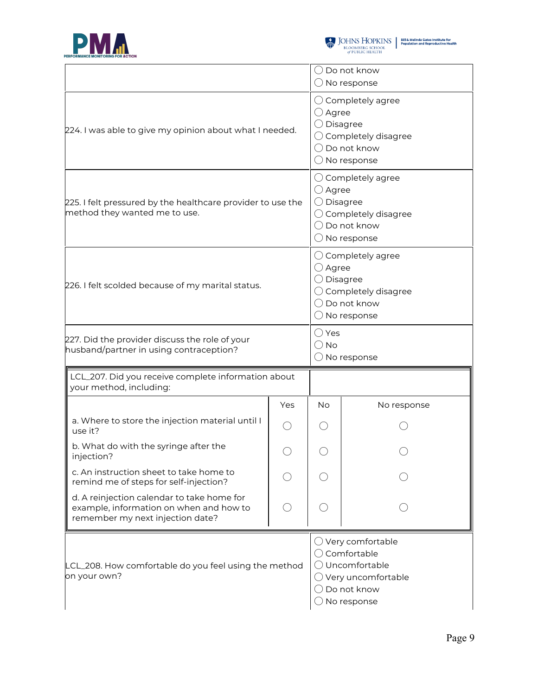



|                                                                                                                           |     | Do not know<br>$\bigcirc$ No response                                                                                                                         |             |  |
|---------------------------------------------------------------------------------------------------------------------------|-----|---------------------------------------------------------------------------------------------------------------------------------------------------------------|-------------|--|
| 224. I was able to give my opinion about what I needed.                                                                   |     | $\bigcirc$ Completely agree<br>$\bigcirc$ Agree<br>$\bigcirc$ Disagree<br>$\bigcirc$ Completely disagree<br>$\bigcirc$ Do not know<br>$\bigcirc$ No response  |             |  |
| 225. I felt pressured by the healthcare provider to use the<br>method they wanted me to use.                              |     | $\bigcirc$ Completely agree<br>$\bigcirc$ Agree<br>$\bigcirc$ Disagree<br>$\bigcirc$ Completely disagree<br>$\bigcirc$ Do not know<br>$\bigcirc$ No response  |             |  |
| 226. I felt scolded because of my marital status.                                                                         |     | $\bigcirc$ Completely agree<br>$\bigcirc$ Agree<br>$\bigcirc$ Disagree<br>$\bigcirc$ Completely disagree<br>$\bigcirc$ Do not know<br>$\bigcirc$ No response  |             |  |
| 227. Did the provider discuss the role of your<br>husband/partner in using contraception?                                 |     | $\bigcirc$ Yes<br>$\bigcirc$ No<br>$\bigcirc$ No response                                                                                                     |             |  |
| LCL_207. Did you receive complete information about<br>your method, including:                                            |     |                                                                                                                                                               |             |  |
|                                                                                                                           | Yes | <b>No</b>                                                                                                                                                     | No response |  |
| a. Where to store the injection material until I<br>use it?                                                               |     |                                                                                                                                                               |             |  |
| b. What do with the syringe after the<br>injection?                                                                       | C   |                                                                                                                                                               |             |  |
| c. An instruction sheet to take home to<br>remind me of steps for self-injection?                                         |     |                                                                                                                                                               |             |  |
| d. A reinjection calendar to take home for<br>example, information on when and how to<br>remember my next injection date? |     |                                                                                                                                                               |             |  |
| LCL_208. How comfortable do you feel using the method<br>on your own?                                                     |     | $\bigcirc$ Very comfortable<br>$\bigcirc$ Comfortable<br>O Uncomfortable<br>$\bigcirc$ Very uncomfortable<br>$\bigcirc$ Do not know<br>$\bigcirc$ No response |             |  |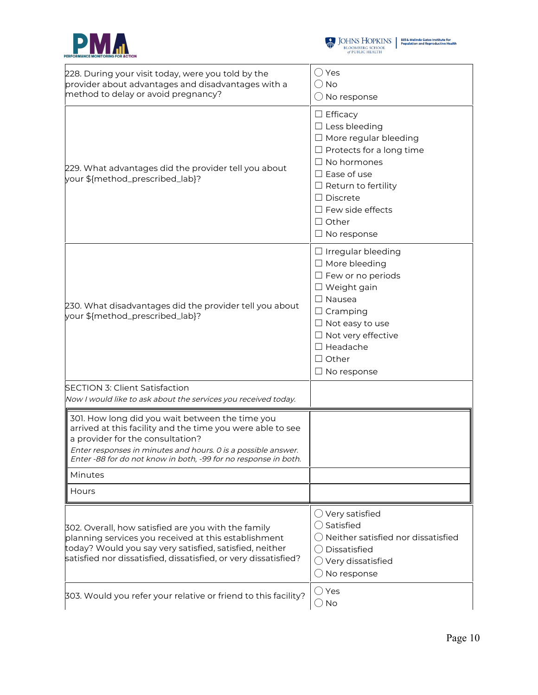



| 228. During your visit today, were you told by the<br>provider about advantages and disadvantages with a<br>method to delay or avoid pregnancy?                                                                                                                                       | $\bigcirc$ Yes<br>() No<br>$\bigcirc$ No response                                                                                                                                                                                                                        |
|---------------------------------------------------------------------------------------------------------------------------------------------------------------------------------------------------------------------------------------------------------------------------------------|--------------------------------------------------------------------------------------------------------------------------------------------------------------------------------------------------------------------------------------------------------------------------|
| 229. What advantages did the provider tell you about<br>your \${method_prescribed_lab}?                                                                                                                                                                                               | $\Box$ Efficacy<br>$\Box$ Less bleeding<br>$\Box$ More regular bleeding<br>$\Box$ Protects for a long time<br>$\Box$ No hormones<br>$\Box$ Ease of use<br>$\Box$ Return to fertility<br>$\Box$ Discrete<br>$\Box$ Few side effects<br>$\Box$ Other<br>$\Box$ No response |
| 230. What disadvantages did the provider tell you about<br>your \${method_prescribed_lab}?                                                                                                                                                                                            | $\Box$ Irregular bleeding<br>$\Box$ More bleeding<br>$\Box$ Few or no periods<br>$\Box$ Weight gain<br>$\Box$ Nausea<br>$\Box$ Cramping<br>$\Box$ Not easy to use<br>$\Box$ Not very effective<br>$\Box$ Headache<br>$\Box$ Other<br>$\Box$ No response                  |
| <b>SECTION 3: Client Satisfaction</b><br>Now I would like to ask about the services you received today.                                                                                                                                                                               |                                                                                                                                                                                                                                                                          |
| 301. How long did you wait between the time you<br>arrived at this facility and the time you were able to see<br>a provider for the consultation?<br>Enter responses in minutes and hours. 0 is a possible answer.<br>Enter -88 for do not know in both, -99 for no response in both. |                                                                                                                                                                                                                                                                          |
| Minutes                                                                                                                                                                                                                                                                               |                                                                                                                                                                                                                                                                          |
| Hours                                                                                                                                                                                                                                                                                 |                                                                                                                                                                                                                                                                          |
| 302. Overall, how satisfied are you with the family<br>planning services you received at this establishment<br>today? Would you say very satisfied, satisfied, neither<br>satisfied nor dissatisfied, dissatisfied, or very dissatisfied?                                             | $\bigcirc$ Very satisfied<br>$\bigcirc$ Satisfied<br>$\bigcirc$ Neither satisfied nor dissatisfied<br>◯ Dissatisfied<br>$\bigcirc$ Very dissatisfied<br>$\bigcirc$ No response                                                                                           |
| 303. Would you refer your relative or friend to this facility?                                                                                                                                                                                                                        | $\bigcirc$ Yes<br>$\bigcirc$ No                                                                                                                                                                                                                                          |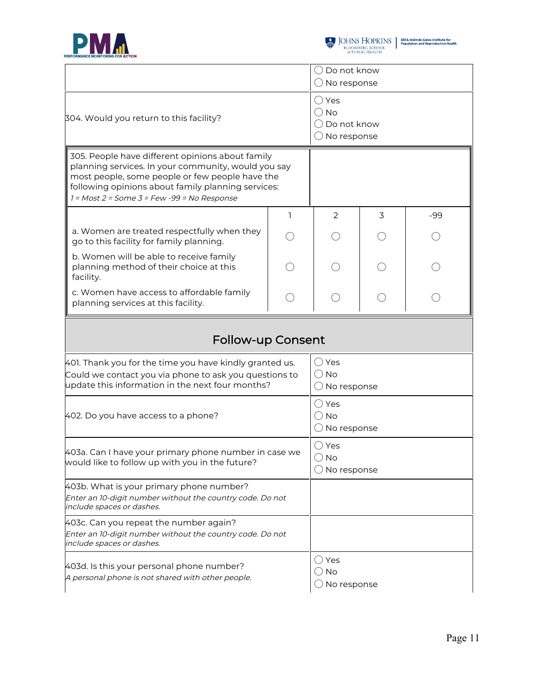



|                                                                                                                                                                                                                                                                 |   | $\bigcirc$ Do not know<br>$\bigcirc$ No response                             |   |     |
|-----------------------------------------------------------------------------------------------------------------------------------------------------------------------------------------------------------------------------------------------------------------|---|------------------------------------------------------------------------------|---|-----|
| 304. Would you return to this facility?                                                                                                                                                                                                                         |   | $\bigcirc$ Yes<br>$\bigcirc$ No<br>( ) Do not know<br>$\bigcirc$ No response |   |     |
| 305. People have different opinions about family<br>planning services. In your community, would you say<br>most people, some people or few people have the<br>following opinions about family planning services:<br>1 = Most 2 = Some 3 = Few -99 = No Response |   |                                                                              |   |     |
|                                                                                                                                                                                                                                                                 | ı | 2                                                                            | 3 | -99 |
| a. Women are treated respectfully when they<br>go to this facility for family planning.                                                                                                                                                                         |   |                                                                              |   |     |
| b. Women will be able to receive family<br>planning method of their choice at this<br>facility.                                                                                                                                                                 |   |                                                                              |   |     |
| c. Women have access to affordable family<br>planning services at this facility.                                                                                                                                                                                |   |                                                                              |   |     |
| <b>Follow-up Consent</b>                                                                                                                                                                                                                                        |   |                                                                              |   |     |
| 401. Thank you for the time you have kindly granted us.<br>Could we contact you via phone to ask you questions to<br>update this information in the next four months?                                                                                           |   | $\bigcirc$ Yes<br>$()$ No<br>$\bigcirc$ No response                          |   |     |
| 402. Do you have access to a phone?                                                                                                                                                                                                                             |   | $\bigcirc$ Yes<br>$\bigcirc$ No<br>$\bigcirc$ No response                    |   |     |
| 403a. Can I have your primary phone number in case we<br>would like to follow up with you in the future?                                                                                                                                                        |   | $\bigcirc$ Yes<br>$\bigcirc$ No<br>$\bigcirc$ No response                    |   |     |
| 403b. What is your primary phone number?<br>Enter an 10-digit number without the country code. Do not<br><i>include spaces or dashes.</i>                                                                                                                       |   |                                                                              |   |     |
| 403c. Can you repeat the number again?<br>Enter an 10-digit number without the country code. Do not<br>include spaces or dashes.                                                                                                                                |   |                                                                              |   |     |
| 403d. Is this your personal phone number?<br>A personal phone is not shared with other people.                                                                                                                                                                  |   | ◯ Yes<br>$\bigcirc$ No                                                       |   |     |